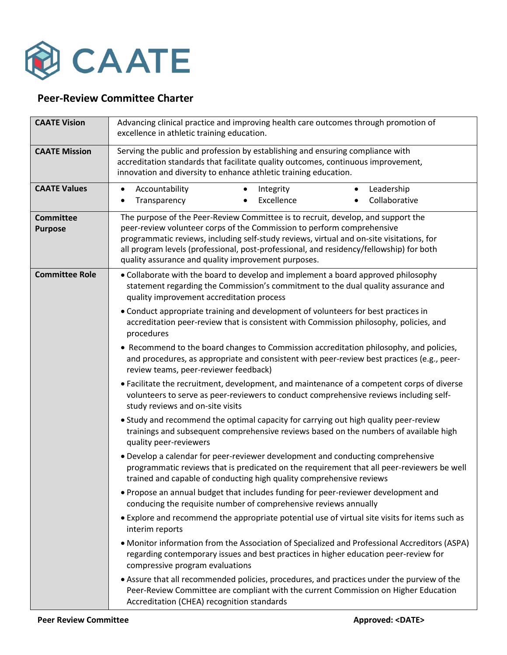

## **Peer-Review Committee Charter**

| <b>CAATE Vision</b>                | Advancing clinical practice and improving health care outcomes through promotion of<br>excellence in athletic training education.                                                                                                                                                                                                                                                                        |
|------------------------------------|----------------------------------------------------------------------------------------------------------------------------------------------------------------------------------------------------------------------------------------------------------------------------------------------------------------------------------------------------------------------------------------------------------|
| <b>CAATE Mission</b>               | Serving the public and profession by establishing and ensuring compliance with<br>accreditation standards that facilitate quality outcomes, continuous improvement,<br>innovation and diversity to enhance athletic training education.                                                                                                                                                                  |
| <b>CAATE Values</b>                | Accountability<br>Leadership<br>Integrity<br>$\bullet$<br>Excellence<br>Collaborative<br>Transparency                                                                                                                                                                                                                                                                                                    |
| <b>Committee</b><br><b>Purpose</b> | The purpose of the Peer-Review Committee is to recruit, develop, and support the<br>peer-review volunteer corps of the Commission to perform comprehensive<br>programmatic reviews, including self-study reviews, virtual and on-site visitations, for<br>all program levels (professional, post-professional, and residency/fellowship) for both<br>quality assurance and quality improvement purposes. |
| <b>Committee Role</b>              | • Collaborate with the board to develop and implement a board approved philosophy<br>statement regarding the Commission's commitment to the dual quality assurance and<br>quality improvement accreditation process                                                                                                                                                                                      |
|                                    | • Conduct appropriate training and development of volunteers for best practices in<br>accreditation peer-review that is consistent with Commission philosophy, policies, and<br>procedures                                                                                                                                                                                                               |
|                                    | • Recommend to the board changes to Commission accreditation philosophy, and policies,<br>and procedures, as appropriate and consistent with peer-review best practices (e.g., peer-<br>review teams, peer-reviewer feedback)                                                                                                                                                                            |
|                                    | • Facilitate the recruitment, development, and maintenance of a competent corps of diverse<br>volunteers to serve as peer-reviewers to conduct comprehensive reviews including self-<br>study reviews and on-site visits                                                                                                                                                                                 |
|                                    | • Study and recommend the optimal capacity for carrying out high quality peer-review<br>trainings and subsequent comprehensive reviews based on the numbers of available high<br>quality peer-reviewers                                                                                                                                                                                                  |
|                                    | • Develop a calendar for peer-reviewer development and conducting comprehensive<br>programmatic reviews that is predicated on the requirement that all peer-reviewers be well<br>trained and capable of conducting high quality comprehensive reviews                                                                                                                                                    |
|                                    | . Propose an annual budget that includes funding for peer-reviewer development and<br>conducing the requisite number of comprehensive reviews annually                                                                                                                                                                                                                                                   |
|                                    | • Explore and recommend the appropriate potential use of virtual site visits for items such as<br>interim reports                                                                                                                                                                                                                                                                                        |
|                                    | • Monitor information from the Association of Specialized and Professional Accreditors (ASPA)<br>regarding contemporary issues and best practices in higher education peer-review for<br>compressive program evaluations                                                                                                                                                                                 |
|                                    | • Assure that all recommended policies, procedures, and practices under the purview of the<br>Peer-Review Committee are compliant with the current Commission on Higher Education<br>Accreditation (CHEA) recognition standards                                                                                                                                                                          |